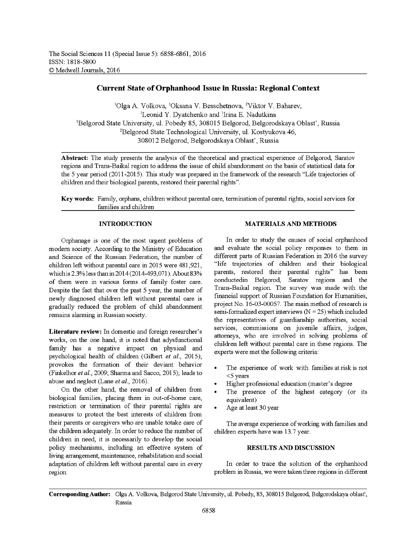# **Current State of Orphanhood Issue in Russia: Regional Context**

<sup>1</sup>Olga A. Volkova, <sup>1</sup>Oksana V. Besschetnova, <sup>2</sup>Viktor V. Baharev, 'Leonid Y. Dyatchenko and 'Irina E. Nadutkina 'Belgorod State University, ul. Pobedy 85, 308015 Belgorod, Belgorodskaya Oblast', Russia <sup>2</sup>Belgorod State Technological University, ul. Kostyukova 46, 308012 Belgorod, Belgorodskaya Oblast', Russia

**Abstract:** The study presents the analysis of the theoretical and practical experience of Belgorod, Saratov regions and Trans-Baikal region to address the issue of child abandonment on the basis of statistical data for the 5 year period (2011 -2015). This study was prepared in the framework of the research "Life trajectories of children and their biological parents, restored their parental rights".

**Key words:** Family, orphans, children without parental care, termination of parental rights, social services for families and children

### **INTRODUCTION**

Orphanage is one of the most urgent problems of modem society. According to the Ministry of Education and Science of the Russian Federation, the number of children left without parental care in 2015 were 481,921, which is 2.3% less than in 2014 (2014-493,071). About 83% of them were in various forms of family foster care. Despite the fact that over the past 5 year, the number of newly diagnosed children left without parental care is gradually reduced the problem of child abandonment remains alarming in Russian society.

**Literature review:** In domestic and foreign researcher's works, on the one hand, it is noted that adysfunctional family has a negative impact on physical and psychological health of children (Gilbert *et al*., 2015); provokes the formation of their deviant behavior (Finkelhor *etal*., 2009; Sharma and Sacco, 2015); leads to abuse and neglect (Lane *etal.*, 2016).

On the other hand, the removal of children from biological families, placing them in out-of-home care, restriction or termination of their parental rights are measures to protect the best interests of children from their parents or caregivers who are unable totake care of the children adequately. In order to reduce the number of children in need, it is necessarily to develop the social policy mechanisms, including an effective system of living arrangement, maintenance, rehabilitation and social adaptation of children left without parental care in every region.

## **MATERIALS AND METHODS**

In order to study the causes of social orphanhood and evaluate the social policy responses to them in different parts of Russian Federation in 2016 the survey "life trajectories of children and their biological parents, restored their parental rights" has been conductedin Belgorod, Saratov regions and the Trans-Baikal region. The survey was made with the financial support of Russian Foundation for Humanities, project No. 16-03-00057. The main method of research is semi-formalized expert interviews  $(N = 25)$  which included the representatives of guardianship authorities, social services, commissions on juvenile affairs, judges, attorneys, who are involved in solving problems of children left without parental care in these regions. The experts were met the following criteria:

- The experience of work with families at risk is not <5 years
- Higher professional education (master's degree
- The presence of the highest category (or its equivalent)
- Age at least 30 year

The average experience of working with families and children experts have was 13.7 year.

### **RESULTS AND DISCUSSION**

In order to trace the solution of the orphanhood problem in Russia, we were taken three regions in different

**Corresponding Author:** Olga A. Volkova, Belgorod State University, ul. Pobedy, 85, 308015 Belgorod, Belgorodskaya oblast', Russia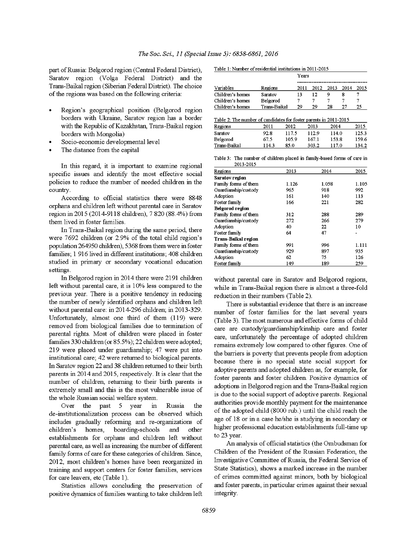part of Russia: Belgorod region (Central Federal District), Saratov region (Volga Federal District) and the Trans-Baikal region (Siberian Federal District). The choice of the regions was based on the following criteria:

- Region's geographical position (Belgorod region borders with Ukraine, Saratov region has a border with the Republic of Kazakhstan, Trans-Baikal region borders with Mongolia)
- Socio-economic developmental level
- The distance from the capital

In this regard, it is important to examine regional specific issues and identify the most effective social policies to reduce the number of needed children in the country.

According to official statistics there were 8848 orphans and children left without parental care in Saratov region in 2015 (2014-9118 children), 7 820 (88.4%) from them lived in foster families.

In Trans-Baikal region during the same period, there were 7692 children (or 2.9% of the total child region's population 264950 children), 5368 from them were in foster families; 1 916 lived in different institutions; 408 children studied in primary or secondary vocational education settings.

In Belgorod region in 2014 there were 2191 children left without parental care, it is 10% less compared to the previous year. There is a positive tendency in reducing the number of newly identified orphans and children left without parental care: in 2014-296 children; in 2013-329. Unfortunately, almost one third of them (119) were removed from biological families due to termination of parental rights. Most of children were placed in foster families 330 children (or 85.5%); 22 children were adopted; 219 were placed under guardianship; 47 were put into institutional care; 42 were returned to biological parents. In Saratov region 22 and 38 children returned to their birth parents in 2014 and 2015, respectively. It is clear that the number of children, returning to their birth parents is extremely small and this is the most vulnerable issue of the whole Russian social welfare system.

Over the past 5 year in Russia the de-institutionalization process can be observed which includes gradually reforming and re-organizations of children's homes, boarding-schools and other establishments for orphans and children left without parental care, as well as increasing the number of different family forms of care for these categories of children. Since, 2012, most children's homes have been reorganized in training and support centers for foster families, services for care leavers, etc (Table 1).

Statistics allows concluding the preservation of positive dynamics of families wanting to take children left

| Table 1: Number of residential institutions in 2011-2015 |  |
|----------------------------------------------------------|--|
|----------------------------------------------------------|--|

|                  |              | Years |      |      |      |      |  |
|------------------|--------------|-------|------|------|------|------|--|
|                  |              |       |      |      |      |      |  |
| Variables        | Regions      | 2011  | 2012 | 2013 | 2014 | 2015 |  |
| Children's homes | Saratov      | 13    | 12   |      |      |      |  |
| Children's homes | Belgorod     |       |      |      |      |      |  |
| Children's homes | Trans-Baikal | 29    | 29   | 28   | 77   | 25   |  |

| Table 2: The number of candidates for foster parents in 2011-2015 |       |       |       |       |       |
|-------------------------------------------------------------------|-------|-------|-------|-------|-------|
| Regions                                                           | 2011  | 2012  | 2013  | 2014  | 2015  |
| Saratov                                                           | 92.8  | 117.5 | 112.9 | 114.0 | 125.3 |
| Belgorod                                                          | 67 5  | 1059  | 167 1 | 153.8 | 159.6 |
| Trans-Baikal                                                      | 114.3 | 85.0  | 303.2 | 117.0 | 134.2 |

Table 3: The number of children placed in family-based forms of care in 2013-2015

| Regions                    | 2013  | 2014  | 2015  |
|----------------------------|-------|-------|-------|
| <b>Saratov region</b>      |       |       |       |
| Family forms of them       | 1.126 | 1.058 | 1.105 |
| Guardianship/custody       | 965   | 918   | 992   |
| Adoption                   | 161   | 140   | 113   |
| Foster family              | 166   | 221   | 282   |
| <b>Belgorod region</b>     |       |       |       |
| Family forms of them       | 312   | 288   | 289   |
| Guardianship/custody       | 272   | 266   | 279   |
| Adoption                   | 40    | 22    | 10    |
| Foster family              | 64    | 47    |       |
| <b>Trans-Baikal region</b> |       |       |       |
| Family forms of them       | 991   | 996   | 1.111 |
| Guardianship/custody       | 929   | 897   | 935   |
| Adoption                   | 62    | 75    | 126   |
| Foster family              | 149   | 189   | 259   |

without parental care in Saratov and Belgorod regions, while in Trans-Baikal region there is almost a three-fold reduction in their numbers (Table 2).

There is substantial evidence that there is an increase number of foster families for the last several years (Table 3). The most numerous and effective forms of child care are custody/guardianship/kinship care and foster care, unfortunately the percentage of adopted children remains extremely low compared to other figures. One of the barriers is poverty that prevents people from adoption because there is no special state social support for adoptive parents and adopted children as, for example, for foster parents and foster children. Positive dynamics of adoptions in Belgorod region and the Trans-Baikal region is due to the social support of adoptive parents. Regional authorities provide monthly payment for the maintenance of the adopted child (8000 rub.) until the child reach the age of 18 or in a case he/she is studying in secondary or higher professional education establishments full-time up to 23 year.

An analysis of official statistics (the Ombudsman for Children of the President of the Russian Federation, the Investigative Committee of Russia, the Federal Service of State Statistics), shows a marked increase in the number of crimes committed against minors, both by biological and foster parents, in particular crimes against their sexual integrity.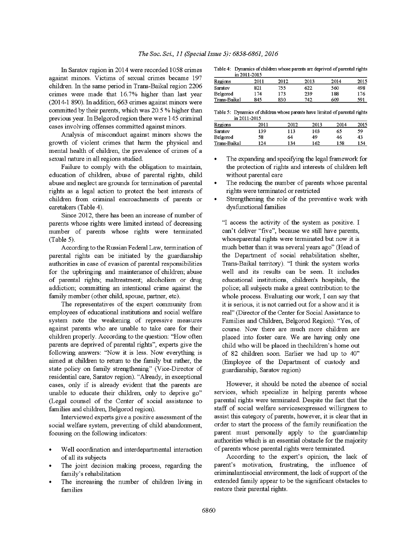In Saratov region in 2014 were recorded 1058 crimes against minors. Victims of sexual crimes became 197 children. In the same period in Trans-Baikal region 2206 crimes were made that 16.7% higher than last year (2014-1 890). In addition, 663 crimes against minors were committed by their parents, which was 20.5 % higher than previous year. In Belgorod region there were 145 criminal cases involving offenses committed against minors.

Analysis of misconduct against minors shows the growth of violent crimes that harm the physical and mental health of children, the prevalence of crimes of a sexual nature in all regions studied.

Failure to comply with the obligation to maintain, education of children, abuse of parental rights, child abuse and neglect are grounds for termination of parental rights as a legal action to protect the best interests of children from criminal encroachments of parents or caretakers (Table 4).

Since 2012, there has been an increase of number of parents whose rights were limited instead of decreasing number of parents whose rights were terminated (Table 5).

According to the Russian Federal Law, termination of parental rights can be initiated by the guardianship authorities in case of evasion of parental responsibilities for the upbringing and maintenance of children; abuse of parental rights; maltreatment; alcoholism or drug addiction; committing an intentional crime against the family member (other child, spouse, partner, etc).

The representatives of the expert community from employees of educational institutions and social welfare system note the weakening of repressive measures against parents who are unable to take care for their children properly. According to the question: "How often parents are deprived of parental rights", experts give the following answers: "Now it is less. Now everything is aimed at children to return to the family but rather, the state policy on family strengthening" (Vice-Director of residential care, Saratov region). "Already, in exceptional cases, only if is already evident that the parents are unable to educate their children, only to deprive go" (Legal counsel of the Center of social assistance to families and children, Belgorod region).

Interviewed experts give a positive assessment of the social welfare system, preventing of child abandonment, focusing on the following indicators:

- Well coordination and interdepartmental interaction of all its subjects
- The joint decision making process, regarding the family's rehabilitation
- The increasing the number of children living in families

Table 4: Dynamics of children whose parents are deprived of parental rights  $\frac{1}{2}$  in 2011-2015

|              | 111 2011-201 <i>3</i> |      |      |      |      |
|--------------|-----------------------|------|------|------|------|
| Regions      | 2011                  | 2012 | 2013 | 2014 | 2015 |
| Saratov      | 821                   | 755. | 622  | 560  | 498  |
| Belgorod     | 174                   | 173  | 239  | 188  | 176  |
| Trans-Baikal | 845                   | 830  | 742  | 609  | 591  |

| Table 5: Dynamics of children whose parents have limited of parental rights |
|-----------------------------------------------------------------------------|
| in 2011-2015                                                                |

| Regions      | 2011 | 2012 | 2013 | 2014 | 2015 |
|--------------|------|------|------|------|------|
| Saratov      | 139  | 113  | 103  | 65   | 59   |
| Belgorod     | 58   | 64   | 49   | 46   | 43   |
| Trans-Baikal | 24   | -34  | 162  | 158  | 154  |

- The expanding and specifying the legal framework for the protection of rights and interests of children left without parental care
- The reducing the number of parents whose parental rights were terminated or restricted
- Strengthening the role of the preventive work with dysfunctional families

"I access the activity of the system as positive. I can't deliver "five", because we still have parents, whoseparental rights were terminated but now it is much better than it was several years ago" (Head of the Department of social rehabilitation shelter, Trans-Baikal territory). "I think the system works well and its results can be seen. It includes educational institutions, children's hospitals, the police; all subjects make a great contribution to the whole process. Evaluating our work, I can say that it is serious, it is not carried out for a show and it is real" (Director of the Center for Social Assistance to Families and Children, Belgorod Region). "Yes, of course. Now there are much more children are placed into foster care. We are having only one child who will be placed in thechildren's home out of 82 children soon. Earlier we had up to 40" (Employee of the Department of custody and guardianship, Saratov region)

However, it should be noted the absence of social services, which specialize in helping parents whose parental rights were terminated. Despite the fact that the staff of social welfare services expressed willingness to assist this category of parents, however, it is clear that in order to start the process of the family reunification the parent must personally apply to the guardianship authorities which is an essential obstacle for the majority of parents whose parental rights were terminated.

According to the expert's opinion, the lack of parent's motivation, frustrating, the influence of criminalantisocial environment, the lack of support of the extended family appear to be the significant obstacles to restore their parental rights.